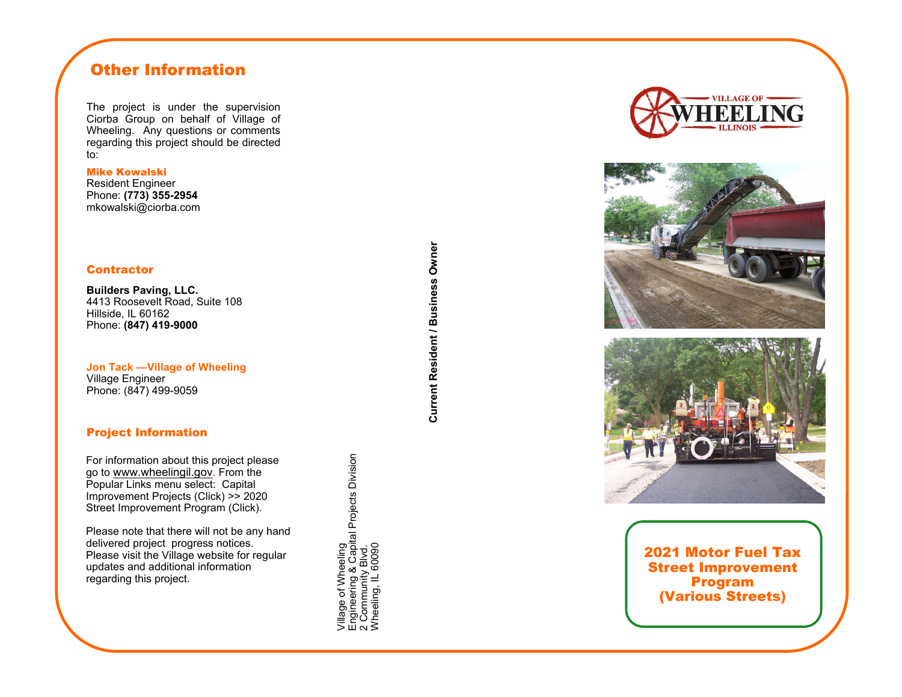# Other Information

The project is under the supervision Ciorba Group on behalf of Village of Wheeling. Any questions or comments regarding this project should be directed to:

Mike Kowalski

Resident Engineer Phone: **(773) 355-2954** mkowalski@ciorba.com

#### **Contractor**

**Builders Paving, LLC.**  4413 Roosevelt Road, Suite 108 Hillside, IL 60162 Phone: **(847) 419-9000** 

**Jon Tack —Village of Wheeling**  Village Engineer Phone: (847) 499-9059

### Project Information

For information about this project please go to www.wheelingil.gov. From the Popular Links menu select: Capital Improvement Projects (Click) >> 2020 Street Improvement Program (Click).

Please note that there will not be any hand delivered project progress notices. Please visit the Village website for regular updates and additional information regarding this project.

Village of Wheeling<br>Engineering & Capital Projects Division<br>2 Community Blvd.<br>Wheeling, IL 60090 Engineering & Capital Projects Division Wheeling, IL 60090 Village of Wheeling 2 Community Blvd.







2021 Motor Fuel Tax Street Improvement Program (Various Streets)

**Current Resident / Business Owner Current Resident / Business Owner**